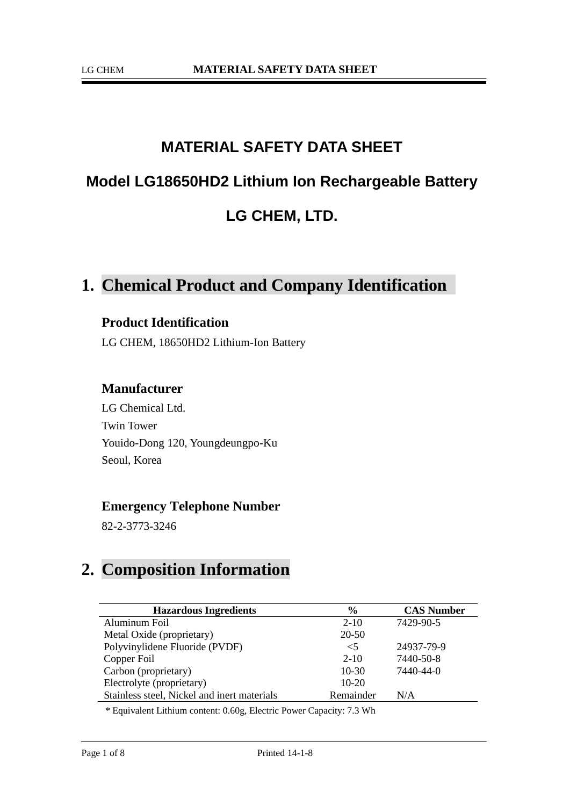# **MATERIAL SAFETY DATA SHEET Model LG18650HD2 Lithium Ion Rechargeable Battery LG CHEM, LTD.**

### **1. Chemical Product and Company Identification**

#### **Product Identification**

LG CHEM, 18650HD2 Lithium-Ion Battery

#### **Manufacturer**

LG Chemical Ltd. Twin Tower Youido-Dong 120, Youngdeungpo-Ku Seoul, Korea

### **Emergency Telephone Number**

82-2-3773-3246

### **2. Composition Information**

| <b>Hazardous Ingredients</b>                | $\frac{6}{9}$ | <b>CAS Number</b> |
|---------------------------------------------|---------------|-------------------|
| Aluminum Foil                               | $2 - 10$      | 7429-90-5         |
| Metal Oxide (proprietary)                   | 20-50         |                   |
| Polyvinylidene Fluoride (PVDF)              | $<$ 5         | 24937-79-9        |
| Copper Foil                                 | $2 - 10$      | 7440-50-8         |
| Carbon (proprietary)                        | $10-30$       | 7440-44-0         |
| Electrolyte (proprietary)                   | $10-20$       |                   |
| Stainless steel, Nickel and inert materials | Remainder     | N/A               |

\* Equivalent Lithium content: 0.60g, Electric Power Capacity: 7.3 Wh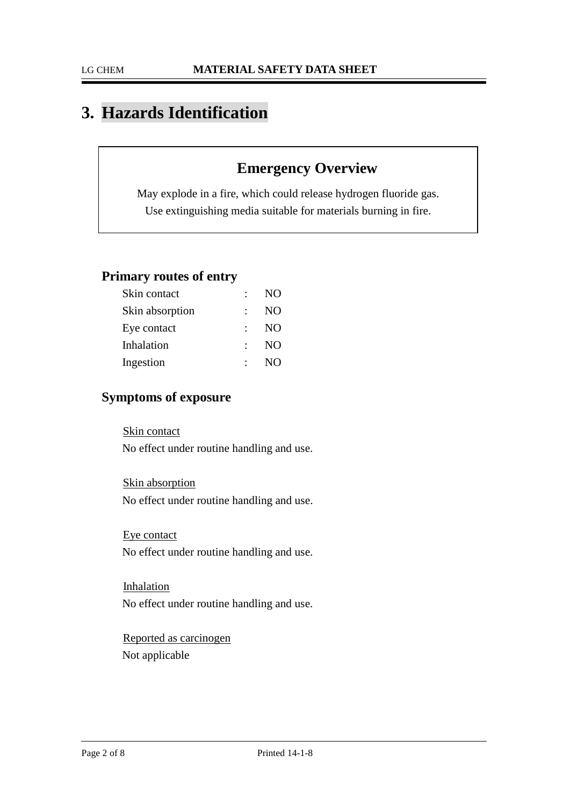### **3. Hazards Identification**

### **Emergency Overview**

May explode in a fire, which could release hydrogen fluoride gas. Use extinguishing media suitable for materials burning in fire.

### **Primary routes of entry**

| Skin contact    | t.                    | NO.            |
|-----------------|-----------------------|----------------|
| Skin absorption |                       | N <sub>O</sub> |
| Eye contact     | $\bullet$ . $\bullet$ | NO             |
| Inhalation      | $\bullet$ .           | NO             |
| Ingestion       | $\bullet$ . $\bullet$ | <b>NO</b>      |
|                 |                       |                |

### **Symptoms of exposure**

Skin contact No effect under routine handling and use.

Skin absorption No effect under routine handling and use.

Eye contact No effect under routine handling and use.

Inhalation No effect under routine handling and use.

Reported as carcinogen Not applicable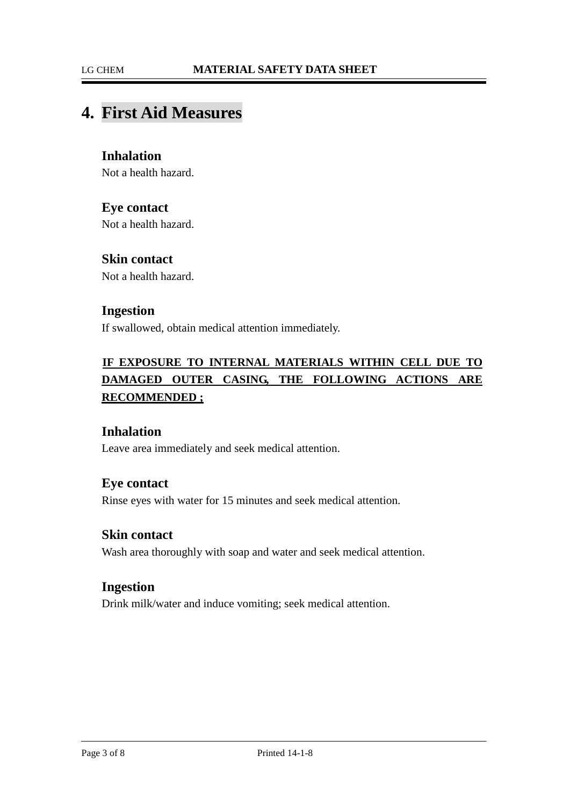### **4. First Aid Measures**

### **Inhalation**

Not a health hazard.

#### **Eye contact**

Not a health hazard.

#### **Skin contact**

Not a health hazard.

#### **Ingestion**

If swallowed, obtain medical attention immediately.

### <sup>U</sup>**IF EXPOSURE TO INTERNAL MATERIALS WITHIN CELL DUE TO DAMAGED OUTER CASING, THE FOLLOWING ACTIONS ARE RECOMMENDED ;**

#### **Inhalation**

Leave area immediately and seek medical attention.

#### **Eye contact**

Rinse eyes with water for 15 minutes and seek medical attention.

#### **Skin contact**

Wash area thoroughly with soap and water and seek medical attention.

#### **Ingestion**

Drink milk/water and induce vomiting; seek medical attention.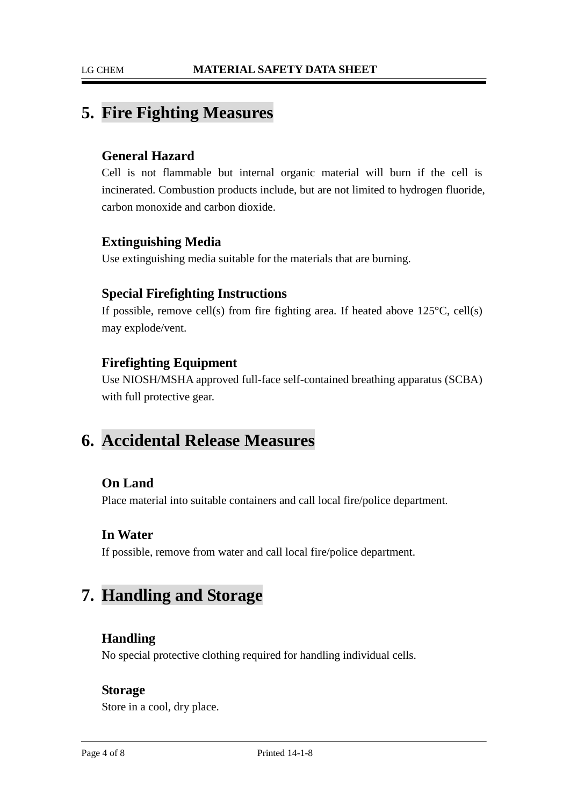### **5. Fire Fighting Measures**

### **General Hazard**

Cell is not flammable but internal organic material will burn if the cell is incinerated. Combustion products include, but are not limited to hydrogen fluoride, carbon monoxide and carbon dioxide.

### **Extinguishing Media**

Use extinguishing media suitable for the materials that are burning.

### **Special Firefighting Instructions**

If possible, remove cell(s) from fire fighting area. If heated above  $125^{\circ}C$ , cell(s) may explode/vent.

### **Firefighting Equipment**

Use NIOSH/MSHA approved full-face self-contained breathing apparatus (SCBA) with full protective gear.

### **6. Accidental Release Measures**

### **On Land**

Place material into suitable containers and call local fire/police department.

### **In Water**

If possible, remove from water and call local fire/police department.

### **7. Handling and Storage**

### **Handling**

No special protective clothing required for handling individual cells.

#### **Storage**

Store in a cool, dry place.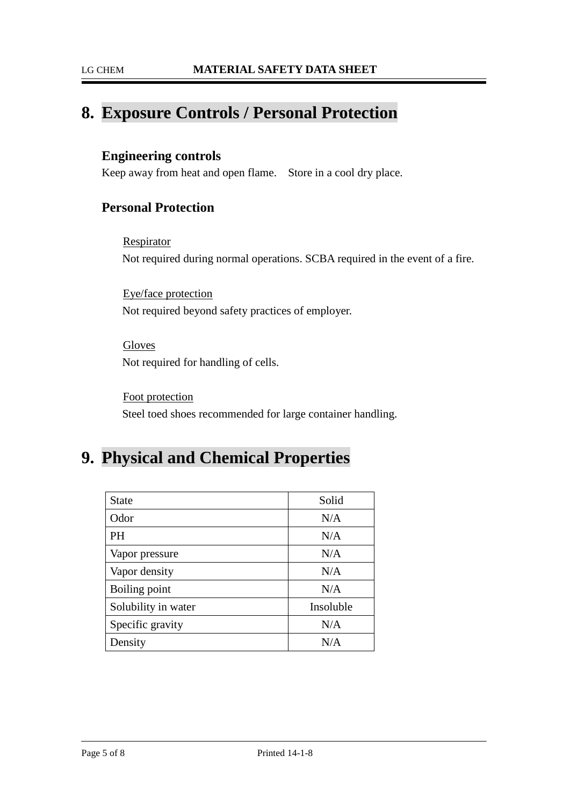### **8. Exposure Controls / Personal Protection**

### **Engineering controls**

Keep away from heat and open flame. Store in a cool dry place.

### **Personal Protection**

Respirator Not required during normal operations. SCBA required in the event of a fire.

Eye/face protection Not required beyond safety practices of employer.

Gloves Not required for handling of cells.

Foot protection Steel toed shoes recommended for large container handling.

### **9. Physical and Chemical Properties**

| <b>State</b>        | Solid     |
|---------------------|-----------|
| Odor                | N/A       |
| PH                  | N/A       |
| Vapor pressure      | N/A       |
| Vapor density       | N/A       |
| Boiling point       | N/A       |
| Solubility in water | Insoluble |
| Specific gravity    | N/A       |
| Density             | N/A       |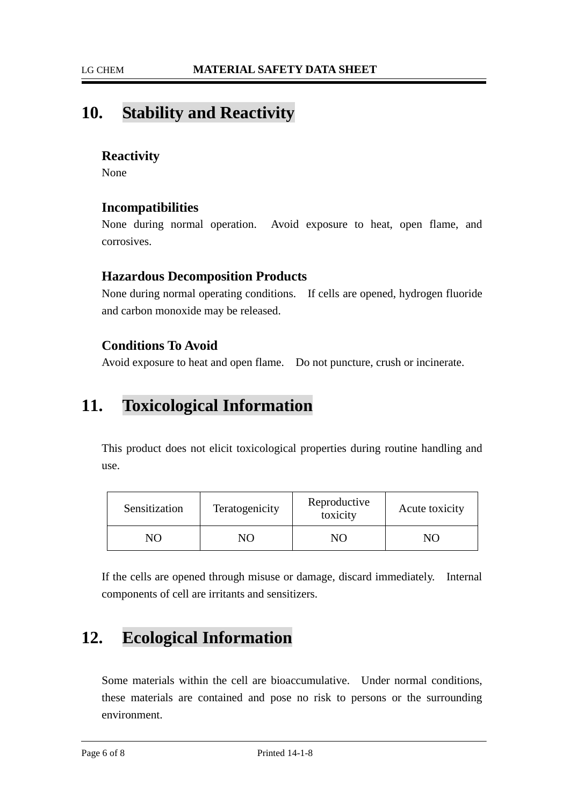### **10. Stability and Reactivity**

### **Reactivity**

None

### **Incompatibilities**

None during normal operation. Avoid exposure to heat, open flame, and corrosives.

### **Hazardous Decomposition Products**

None during normal operating conditions. If cells are opened, hydrogen fluoride and carbon monoxide may be released.

### **Conditions To Avoid**

Avoid exposure to heat and open flame. Do not puncture, crush or incinerate.

### **11. Toxicological Information**

This product does not elicit toxicological properties during routine handling and use.

| Sensitization | Teratogenicity | Reproductive<br>toxicity | Acute toxicity |
|---------------|----------------|--------------------------|----------------|
|               | JС             |                          |                |

If the cells are opened through misuse or damage, discard immediately. Internal components of cell are irritants and sensitizers.

### **12. Ecological Information**

Some materials within the cell are bioaccumulative. Under normal conditions, these materials are contained and pose no risk to persons or the surrounding environment.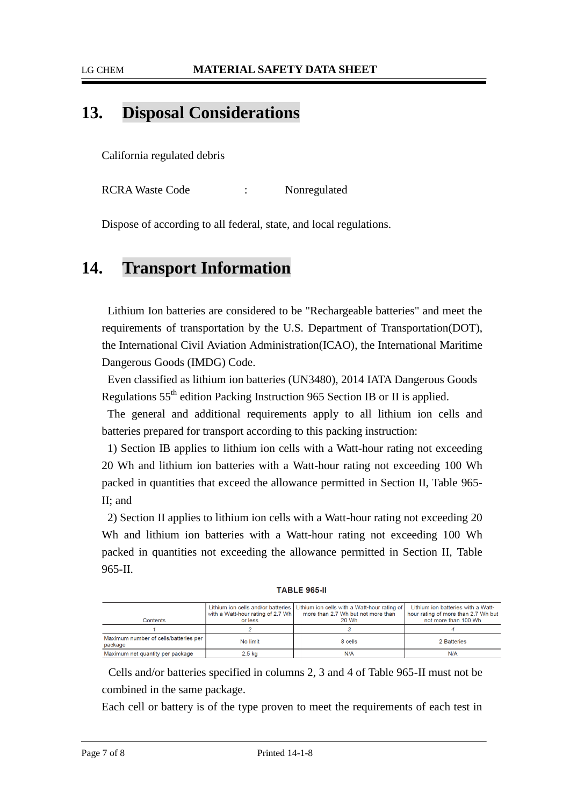#### LG CHEM **MATERIAL SAFETY DATA SHEET**

### **13. Disposal Considerations**

California regulated debris

RCRA Waste Code : Nonregulated

Dispose of according to all federal, state, and local regulations.

### **14. Transport Information**

Lithium Ion batteries are considered to be "Rechargeable batteries" and meet the requirements of transportation by the U.S. Department of Transportation(DOT), the International Civil Aviation Administration(ICAO), the International Maritime Dangerous Goods (IMDG) Code.

Even classified as lithium ion batteries (UN3480), 2014 IATA Dangerous Goods Regulations 55th edition Packing Instruction 965 Section IB or II is applied.

The general and additional requirements apply to all lithium ion cells and batteries prepared for transport according to this packing instruction:

1) Section IB applies to lithium ion cells with a Watt-hour rating not exceeding 20 Wh and lithium ion batteries with a Watt-hour rating not exceeding 100 Wh packed in quantities that exceed the allowance permitted in Section II, Table 965- II; and

2) Section II applies to lithium ion cells with a Watt-hour rating not exceeding 20 Wh and lithium ion batteries with a Watt-hour rating not exceeding 100 Wh packed in quantities not exceeding the allowance permitted in Section II, Table 965-II.

**TABLE 965-II** 

| Contents                                         | with a Watt-hour rating of 2.7 Wh<br>or less | Lithium ion cells and/or batteries   Lithium ion cells with a Watt-hour rating of<br>more than 2.7 Wh but not more than<br>20 Wh | Lithium ion batteries with a Watt-<br>hour rating of more than 2.7 Wh but<br>not more than 100 Wh |
|--------------------------------------------------|----------------------------------------------|----------------------------------------------------------------------------------------------------------------------------------|---------------------------------------------------------------------------------------------------|
|                                                  |                                              |                                                                                                                                  |                                                                                                   |
| Maximum number of cells/batteries per<br>package | No limit                                     | 8 cells                                                                                                                          | 2 Batteries                                                                                       |
| Maximum net quantity per package                 | $2.5$ kg                                     | N/A                                                                                                                              | N/A                                                                                               |

Cells and/or batteries specified in columns 2, 3 and 4 of Table 965-II must not be combined in the same package.

Each cell or battery is of the type proven to meet the requirements of each test in